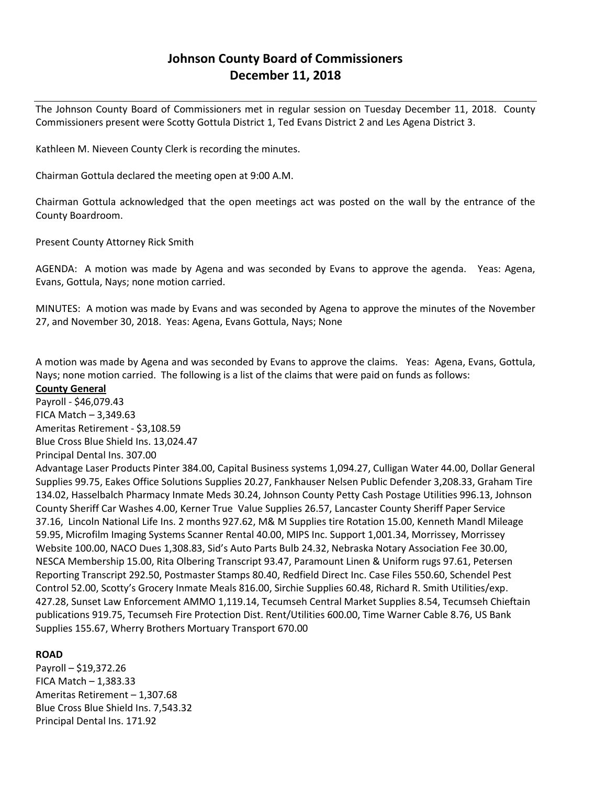# **Johnson County Board of Commissioners December 11, 2018**

The Johnson County Board of Commissioners met in regular session on Tuesday December 11, 2018. County Commissioners present were Scotty Gottula District 1, Ted Evans District 2 and Les Agena District 3.

Kathleen M. Nieveen County Clerk is recording the minutes.

Chairman Gottula declared the meeting open at 9:00 A.M.

Chairman Gottula acknowledged that the open meetings act was posted on the wall by the entrance of the County Boardroom.

Present County Attorney Rick Smith

AGENDA: A motion was made by Agena and was seconded by Evans to approve the agenda. Yeas: Agena, Evans, Gottula, Nays; none motion carried.

MINUTES: A motion was made by Evans and was seconded by Agena to approve the minutes of the November 27, and November 30, 2018. Yeas: Agena, Evans Gottula, Nays; None

A motion was made by Agena and was seconded by Evans to approve the claims. Yeas: Agena, Evans, Gottula, Nays; none motion carried. The following is a list of the claims that were paid on funds as follows:

#### **County General**

Payroll - \$46,079.43 FICA Match – 3,349.63 Ameritas Retirement - \$3,108.59 Blue Cross Blue Shield Ins. 13,024.47

Principal Dental Ins. 307.00

Advantage Laser Products Pinter 384.00, Capital Business systems 1,094.27, Culligan Water 44.00, Dollar General Supplies 99.75, Eakes Office Solutions Supplies 20.27, Fankhauser Nelsen Public Defender 3,208.33, Graham Tire 134.02, Hasselbalch Pharmacy Inmate Meds 30.24, Johnson County Petty Cash Postage Utilities 996.13, Johnson County Sheriff Car Washes 4.00, Kerner True Value Supplies 26.57, Lancaster County Sheriff Paper Service 37.16, Lincoln National Life Ins. 2 months 927.62, M& M Supplies tire Rotation 15.00, Kenneth Mandl Mileage 59.95, Microfilm Imaging Systems Scanner Rental 40.00, MIPS Inc. Support 1,001.34, Morrissey, Morrissey Website 100.00, NACO Dues 1,308.83, Sid's Auto Parts Bulb 24.32, Nebraska Notary Association Fee 30.00, NESCA Membership 15.00, Rita Olbering Transcript 93.47, Paramount Linen & Uniform rugs 97.61, Petersen Reporting Transcript 292.50, Postmaster Stamps 80.40, Redfield Direct Inc. Case Files 550.60, Schendel Pest Control 52.00, Scotty's Grocery Inmate Meals 816.00, Sirchie Supplies 60.48, Richard R. Smith Utilities/exp. 427.28, Sunset Law Enforcement AMMO 1,119.14, Tecumseh Central Market Supplies 8.54, Tecumseh Chieftain publications 919.75, Tecumseh Fire Protection Dist. Rent/Utilities 600.00, Time Warner Cable 8.76, US Bank Supplies 155.67, Wherry Brothers Mortuary Transport 670.00

## **ROAD**

Payroll – \$19,372.26 FICA Match  $-1,383.33$ Ameritas Retirement – 1,307.68 Blue Cross Blue Shield Ins. 7,543.32 Principal Dental Ins. 171.92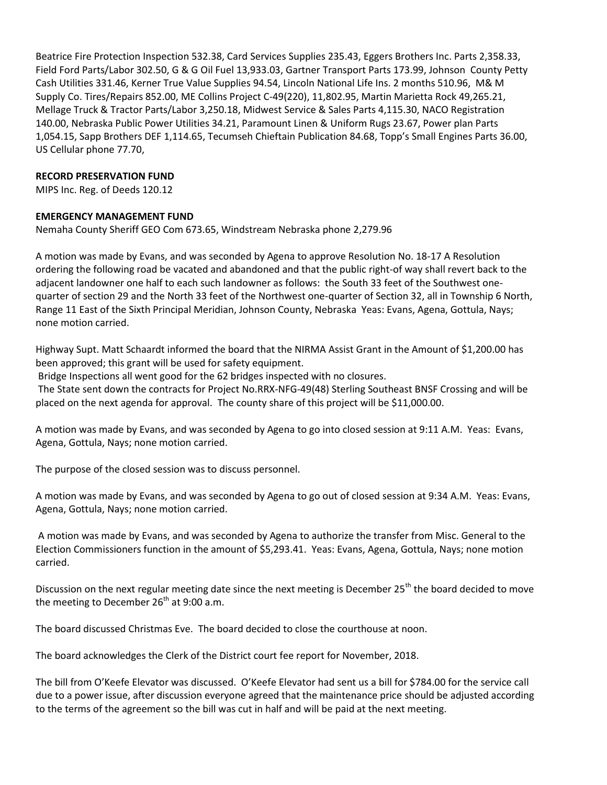Beatrice Fire Protection Inspection 532.38, Card Services Supplies 235.43, Eggers Brothers Inc. Parts 2,358.33, Field Ford Parts/Labor 302.50, G & G Oil Fuel 13,933.03, Gartner Transport Parts 173.99, Johnson County Petty Cash Utilities 331.46, Kerner True Value Supplies 94.54, Lincoln National Life Ins. 2 months 510.96, M& M Supply Co. Tires/Repairs 852.00, ME Collins Project C-49(220), 11,802.95, Martin Marietta Rock 49,265.21, Mellage Truck & Tractor Parts/Labor 3,250.18, Midwest Service & Sales Parts 4,115.30, NACO Registration 140.00, Nebraska Public Power Utilities 34.21, Paramount Linen & Uniform Rugs 23.67, Power plan Parts 1,054.15, Sapp Brothers DEF 1,114.65, Tecumseh Chieftain Publication 84.68, Topp's Small Engines Parts 36.00, US Cellular phone 77.70,

## **RECORD PRESERVATION FUND**

MIPS Inc. Reg. of Deeds 120.12

## **EMERGENCY MANAGEMENT FUND**

Nemaha County Sheriff GEO Com 673.65, Windstream Nebraska phone 2,279.96

A motion was made by Evans, and was seconded by Agena to approve Resolution No. 18-17 A Resolution ordering the following road be vacated and abandoned and that the public right-of way shall revert back to the adjacent landowner one half to each such landowner as follows: the South 33 feet of the Southwest onequarter of section 29 and the North 33 feet of the Northwest one-quarter of Section 32, all in Township 6 North, Range 11 East of the Sixth Principal Meridian, Johnson County, Nebraska Yeas: Evans, Agena, Gottula, Nays; none motion carried.

Highway Supt. Matt Schaardt informed the board that the NIRMA Assist Grant in the Amount of \$1,200.00 has been approved; this grant will be used for safety equipment.

Bridge Inspections all went good for the 62 bridges inspected with no closures.

The State sent down the contracts for Project No.RRX-NFG-49(48) Sterling Southeast BNSF Crossing and will be placed on the next agenda for approval. The county share of this project will be \$11,000.00.

A motion was made by Evans, and was seconded by Agena to go into closed session at 9:11 A.M. Yeas: Evans, Agena, Gottula, Nays; none motion carried.

The purpose of the closed session was to discuss personnel.

A motion was made by Evans, and was seconded by Agena to go out of closed session at 9:34 A.M. Yeas: Evans, Agena, Gottula, Nays; none motion carried.

A motion was made by Evans, and was seconded by Agena to authorize the transfer from Misc. General to the Election Commissioners function in the amount of \$5,293.41. Yeas: Evans, Agena, Gottula, Nays; none motion carried.

Discussion on the next regular meeting date since the next meeting is December 25<sup>th</sup> the board decided to move the meeting to December  $26<sup>th</sup>$  at 9:00 a.m.

The board discussed Christmas Eve. The board decided to close the courthouse at noon.

The board acknowledges the Clerk of the District court fee report for November, 2018.

The bill from O'Keefe Elevator was discussed. O'Keefe Elevator had sent us a bill for \$784.00 for the service call due to a power issue, after discussion everyone agreed that the maintenance price should be adjusted according to the terms of the agreement so the bill was cut in half and will be paid at the next meeting.